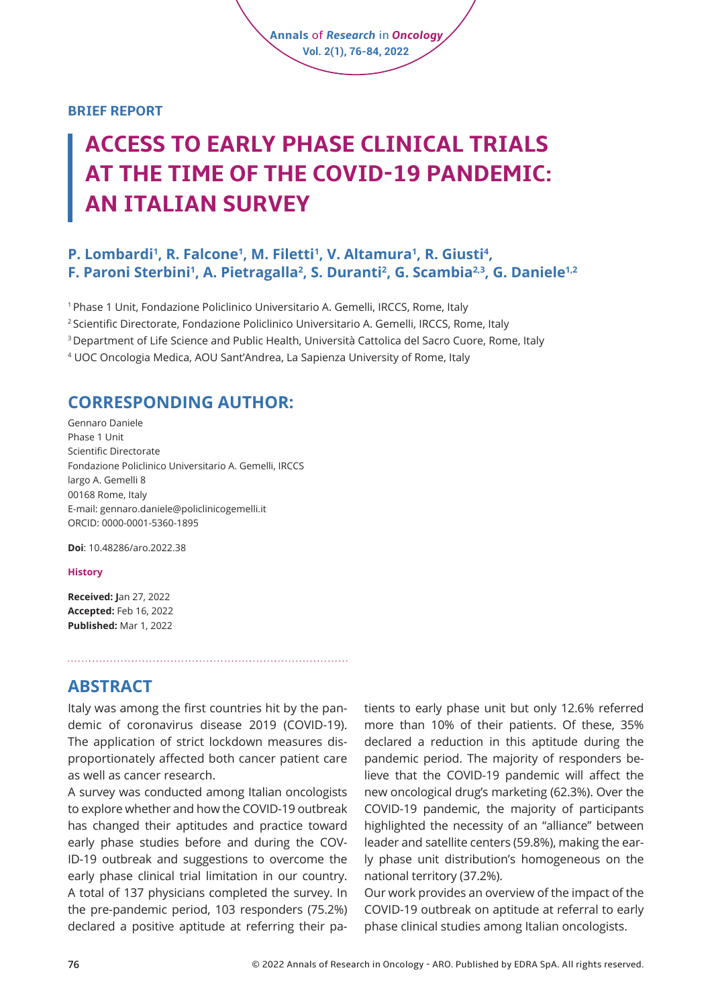#### **BRIEF REPORT**

# **ACCESS TO EARLY PHASE CLINICAL TRIALS AT THE TIME OF THE COVID-19 PANDEMIC: AN ITALIAN SURVEY**

**Annals** of *Research* in *Oncology* **Vol. 2(1), 76-84, 2022**

#### **P. Lombardi<sup>1</sup>, R. Falcone<sup>1</sup>, M. Filetti<sup>1</sup>, V. Altamura<sup>1</sup>, R. Giusti<sup>4</sup>, F. Paroni Sterbini1 , A. Pietragalla2 , S. Duranti2 , G. Scambia2,3, G. Daniele1,2**

1 Phase 1 Unit, Fondazione Policlinico Universitario A. Gemelli, IRCCS, Rome, Italy <sup>2</sup> Scientific Directorate, Fondazione Policlinico Universitario A. Gemelli, IRCCS, Rome, Italy 3 Department of Life Science and Public Health, Università Cattolica del Sacro Cuore, Rome, Italy 4 UOC Oncologia Medica, AOU Sant'Andrea, La Sapienza University of Rome, Italy

### **CORRESPONDING AUTHOR:**

Gennaro Daniele Phase 1 Unit Scientific Directorate Fondazione Policlinico Universitario A. Gemelli, IRCCS largo A. Gemelli 8 00168 Rome, Italy E-mail: [gennaro.daniele@policlinicogemelli.it](mailto:gennaro.daniele@policlinicogemelli.it) ORCID: 0000-0001-5360-1895

**Doi**: [10.48286/aro.2022.38](https://www.annals-research-oncology.com/access-to-early-phase-clinical-trials-at-the-time-of-the-covid-19-pandemic-an-italian-survey/)

#### **History**

**Received: J**an 27, 2022 **Accepted:** Feb 16, 2022 **Published:** Mar 1, 2022

#### **ABSTRACT**

Italy was among the first countries hit by the pandemic of coronavirus disease 2019 (COVID-19). The application of strict lockdown measures disproportionately affected both cancer patient care as well as cancer research.

A survey was conducted among Italian oncologists to explore whether and how the COVID-19 outbreak has changed their aptitudes and practice toward early phase studies before and during the COV-ID-19 outbreak and suggestions to overcome the early phase clinical trial limitation in our country. A total of 137 physicians completed the survey. In the pre-pandemic period, 103 responders (75.2%) declared a positive aptitude at referring their patients to early phase unit but only 12.6% referred more than 10% of their patients. Of these, 35% declared a reduction in this aptitude during the pandemic period. The majority of responders believe that the COVID-19 pandemic will affect the new oncological drug's marketing (62.3%). Over the COVID-19 pandemic, the majority of participants highlighted the necessity of an "alliance" between leader and satellite centers (59.8%), making the early phase unit distribution's homogeneous on the national territory (37.2%).

Our work provides an overview of the impact of the COVID-19 outbreak on aptitude at referral to early phase clinical studies among Italian oncologists.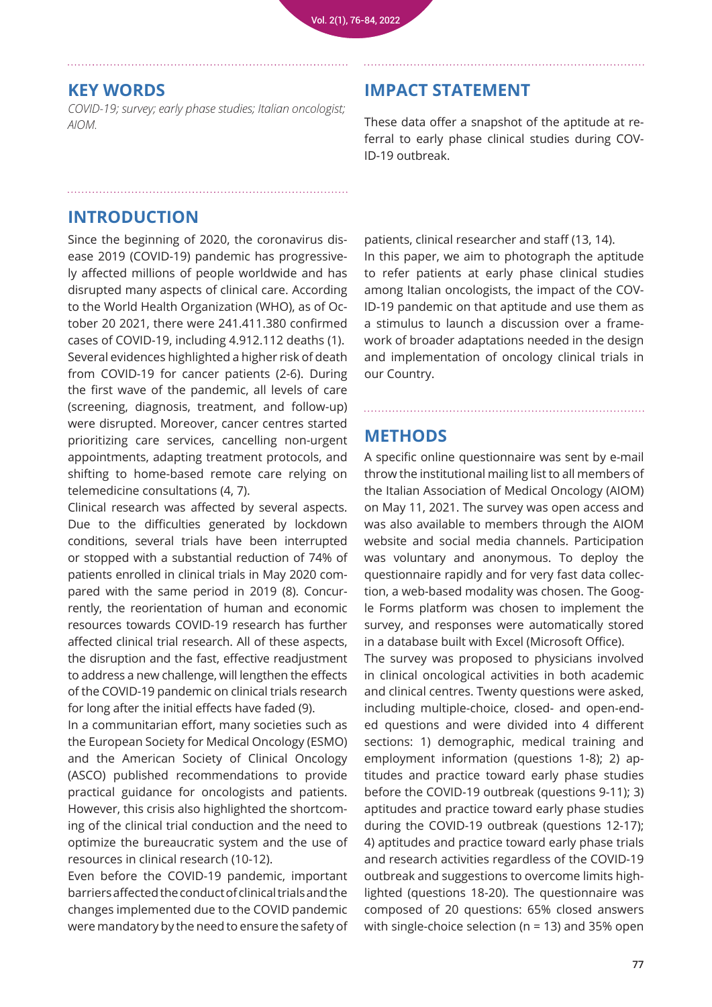#### **KEY WORDS**

*COVID-19; survey; early phase studies; Italian oncologist; AIOM.*

#### **IMPACT STATEMENT**

These data offer a snapshot of the aptitude at referral to early phase clinical studies during COV-ID-19 outbreak.

### **INTRODUCTION**

Since the beginning of 2020, the coronavirus disease 2019 (COVID-19) pandemic has progressively affected millions of people worldwide and has disrupted many aspects of clinical care. According to the World Health Organization (WHO), as of October 20 2021, there were 241.411.380 confirmed cases of COVID-19, including 4.912.112 deaths (1). Several evidences highlighted a higher risk of death from COVID-19 for cancer patients (2-6). During the first wave of the pandemic, all levels of care (screening, diagnosis, treatment, and follow-up) were disrupted. Moreover, cancer centres started prioritizing care services, cancelling non-urgent appointments, adapting treatment protocols, and shifting to home-based remote care relying on telemedicine consultations (4, 7).

Clinical research was affected by several aspects. Due to the difficulties generated by lockdown conditions, several trials have been interrupted or stopped with a substantial reduction of 74% of patients enrolled in clinical trials in May 2020 compared with the same period in 2019 (8). Concurrently, the reorientation of human and economic resources towards COVID-19 research has further affected clinical trial research. All of these aspects, the disruption and the fast, effective readjustment to address a new challenge, will lengthen the effects of the COVID-19 pandemic on clinical trials research for long after the initial effects have faded (9).

In a communitarian effort, many societies such as the European Society for Medical Oncology (ESMO) and the American Society of Clinical Oncology (ASCO) published recommendations to provide practical guidance for oncologists and patients. However, this crisis also highlighted the shortcoming of the clinical trial conduction and the need to optimize the bureaucratic system and the use of resources in clinical research (10-12).

Even before the COVID-19 pandemic, important barriers affected the conduct of clinical trials and the changes implemented due to the COVID pandemic were mandatory by the need to ensure the safety of

patients, clinical researcher and staff (13, 14). In this paper, we aim to photograph the aptitude to refer patients at early phase clinical studies among Italian oncologists, the impact of the COV-ID-19 pandemic on that aptitude and use them as a stimulus to launch a discussion over a framework of broader adaptations needed in the design and implementation of oncology clinical trials in our Country.

### **METHODS**

A specific online questionnaire was sent by e-mail throw the institutional mailing list to all members of the Italian Association of Medical Oncology (AIOM) on May 11, 2021. The survey was open access and was also available to members through the AIOM website and social media channels. Participation was voluntary and anonymous. To deploy the questionnaire rapidly and for very fast data collection, a web-based modality was chosen. The Google Forms platform was chosen to implement the survey, and responses were automatically stored in a database built with Excel (Microsoft Office).

The survey was proposed to physicians involved in clinical oncological activities in both academic and clinical centres. Twenty questions were asked, including multiple-choice, closed- and open-ended questions and were divided into 4 different sections: 1) demographic, medical training and employment information (questions 1-8); 2) aptitudes and practice toward early phase studies before the COVID-19 outbreak (questions 9-11); 3) aptitudes and practice toward early phase studies during the COVID-19 outbreak (questions 12-17); 4) aptitudes and practice toward early phase trials and research activities regardless of the COVID-19 outbreak and suggestions to overcome limits highlighted (questions 18-20). The questionnaire was composed of 20 questions: 65% closed answers with single-choice selection (n = 13) and 35% open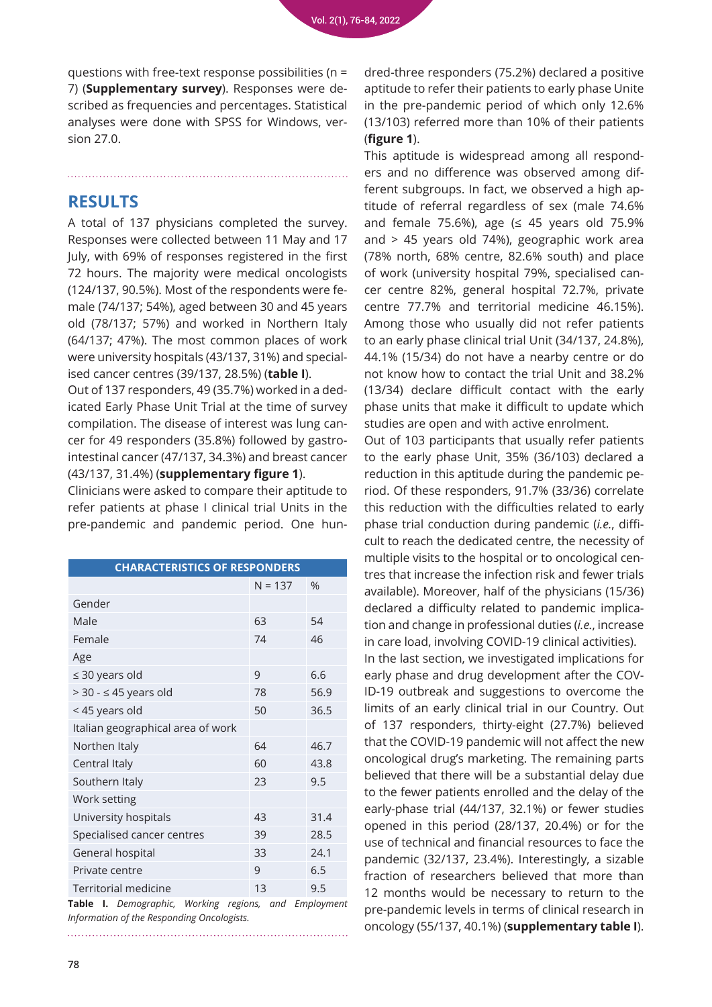questions with free-text response possibilities (n = 7) (**Supplementary survey**). Responses were described as frequencies and percentages. Statistical analyses were done with SPSS for Windows, version 27.0.

### **RESULTS**

A total of 137 physicians completed the survey. Responses were collected between 11 May and 17 July, with 69% of responses registered in the first 72 hours. The majority were medical oncologists (124/137, 90.5%). Most of the respondents were female (74/137; 54%), aged between 30 and 45 years old (78/137; 57%) and worked in Northern Italy (64/137; 47%). The most common places of work were university hospitals (43/137, 31%) and specialised cancer centres (39/137, 28.5%) (**table I**).

Out of 137 responders, 49 (35.7%) worked in a dedicated Early Phase Unit Trial at the time of survey compilation. The disease of interest was lung cancer for 49 responders (35.8%) followed by gastrointestinal cancer (47/137, 34.3%) and breast cancer (43/137, 31.4%) (**supplementary figure 1**).

Clinicians were asked to compare their aptitude to refer patients at phase I clinical trial Units in the pre-pandemic and pandemic period. One hun-

| <b>CHARACTERISTICS OF RESPONDERS</b>                        |           |               |  |  |  |  |
|-------------------------------------------------------------|-----------|---------------|--|--|--|--|
|                                                             | $N = 137$ | $\frac{0}{0}$ |  |  |  |  |
| Gender                                                      |           |               |  |  |  |  |
| Male                                                        | 63        | 54            |  |  |  |  |
| Female                                                      | 74        | 46            |  |  |  |  |
| Age                                                         |           |               |  |  |  |  |
| $\leq$ 30 years old                                         | 9         | 6.6           |  |  |  |  |
| $> 30 - 45$ years old                                       | 78        | 56.9          |  |  |  |  |
| < 45 years old                                              | 50        | 36.5          |  |  |  |  |
| Italian geographical area of work                           |           |               |  |  |  |  |
| Northen Italy                                               | 64        | 46.7          |  |  |  |  |
| Central Italy                                               | 60        | 43.8          |  |  |  |  |
| Southern Italy                                              | 23        | 9.5           |  |  |  |  |
| Work setting                                                |           |               |  |  |  |  |
| University hospitals                                        | 43        | 31.4          |  |  |  |  |
| Specialised cancer centres                                  | 39        | 28.5          |  |  |  |  |
| General hospital                                            | 33        | 24.1          |  |  |  |  |
| Private centre                                              | 9         | 6.5           |  |  |  |  |
| <b>Territorial medicine</b>                                 | 13        | 9.5           |  |  |  |  |
| Working regions and Employmen<br><b>Tahle I</b> Demographic |           |               |  |  |  |  |

**Table I.** *Demographic, Working regions, and Employment Information of the Responding Oncologists.* 

dred-three responders (75.2%) declared a positive aptitude to refer their patients to early phase Unite in the pre-pandemic period of which only 12.6% (13/103) referred more than 10% of their patients (**figure 1**).

This aptitude is widespread among all responders and no difference was observed among different subgroups. In fact, we observed a high aptitude of referral regardless of sex (male 74.6% and female 75.6%), age  $(≤ 45$  years old 75.9% and > 45 years old 74%), geographic work area (78% north, 68% centre, 82.6% south) and place of work (university hospital 79%, specialised cancer centre 82%, general hospital 72.7%, private centre 77.7% and territorial medicine 46.15%). Among those who usually did not refer patients to an early phase clinical trial Unit (34/137, 24.8%), 44.1% (15/34) do not have a nearby centre or do not know how to contact the trial Unit and 38.2% (13/34) declare difficult contact with the early phase units that make it difficult to update which studies are open and with active enrolment.

Out of 103 participants that usually refer patients to the early phase Unit, 35% (36/103) declared a reduction in this aptitude during the pandemic period. Of these responders, 91.7% (33/36) correlate this reduction with the difficulties related to early phase trial conduction during pandemic (*i.e.*, difficult to reach the dedicated centre, the necessity of multiple visits to the hospital or to oncological centres that increase the infection risk and fewer trials available). Moreover, half of the physicians (15/36) declared a difficulty related to pandemic implication and change in professional duties (*i.e.*, increase in care load, involving COVID-19 clinical activities). In the last section, we investigated implications for early phase and drug development after the COV-ID-19 outbreak and suggestions to overcome the limits of an early clinical trial in our Country. Out of 137 responders, thirty-eight (27.7%) believed that the COVID-19 pandemic will not affect the new oncological drug's marketing. The remaining parts believed that there will be a substantial delay due to the fewer patients enrolled and the delay of the early-phase trial (44/137, 32.1%) or fewer studies opened in this period (28/137, 20.4%) or for the use of technical and financial resources to face the pandemic (32/137, 23.4%). Interestingly, a sizable fraction of researchers believed that more than 12 months would be necessary to return to the pre-pandemic levels in terms of clinical research in oncology (55/137, 40.1%) (**supplementary table I**).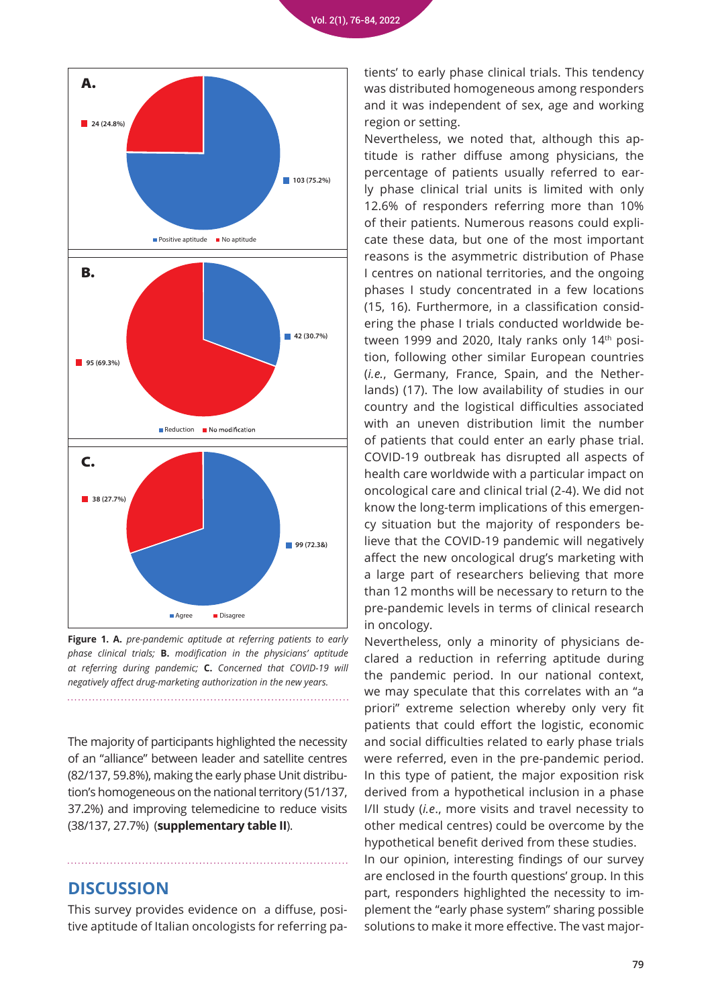

**Figure 1. A.** *pre-pandemic aptitude at referring patients to early phase clinical trials;* **B.** *modification in the physicians' aptitude at referring during pandemic;* **C.** *Concerned that COVID-19 will negatively affect drug-marketing authorization in the new years.*

The majority of participants highlighted the necessity of an "alliance" between leader and satellite centres (82/137, 59.8%), making the early phase Unit distribution's homogeneous on the national territory (51/137, 37.2%) and improving telemedicine to reduce visits (38/137, 27.7%) (**supplementary table II**).

### **DISCUSSION**

This survey provides evidence on a diffuse, positive aptitude of Italian oncologists for referring patients' to early phase clinical trials. This tendency was distributed homogeneous among responders and it was independent of sex, age and working region or setting.

Nevertheless, we noted that, although this aptitude is rather diffuse among physicians, the percentage of patients usually referred to early phase clinical trial units is limited with only 12.6% of responders referring more than 10% of their patients. Numerous reasons could explicate these data, but one of the most important reasons is the asymmetric distribution of Phase I centres on national territories, and the ongoing phases I study concentrated in a few locations (15, 16). Furthermore, in a classification considering the phase I trials conducted worldwide between 1999 and 2020, Italy ranks only 14<sup>th</sup> position, following other similar European countries (*i.e.*, Germany, France, Spain, and the Netherlands) (17). The low availability of studies in our country and the logistical difficulties associated with an uneven distribution limit the number of patients that could enter an early phase trial. COVID-19 outbreak has disrupted all aspects of health care worldwide with a particular impact on oncological care and clinical trial (2-4). We did not know the long-term implications of this emergency situation but the majority of responders believe that the COVID-19 pandemic will negatively affect the new oncological drug's marketing with a large part of researchers believing that more than 12 months will be necessary to return to the pre-pandemic levels in terms of clinical research in oncology.

Nevertheless, only a minority of physicians declared a reduction in referring aptitude during the pandemic period. In our national context, we may speculate that this correlates with an "a priori" extreme selection whereby only very fit patients that could effort the logistic, economic and social difficulties related to early phase trials were referred, even in the pre-pandemic period. In this type of patient, the major exposition risk derived from a hypothetical inclusion in a phase I/II study (*i.e*., more visits and travel necessity to other medical centres) could be overcome by the hypothetical benefit derived from these studies.

In our opinion, interesting findings of our survey are enclosed in the fourth questions' group. In this part, responders highlighted the necessity to implement the "early phase system" sharing possible solutions to make it more effective. The vast major-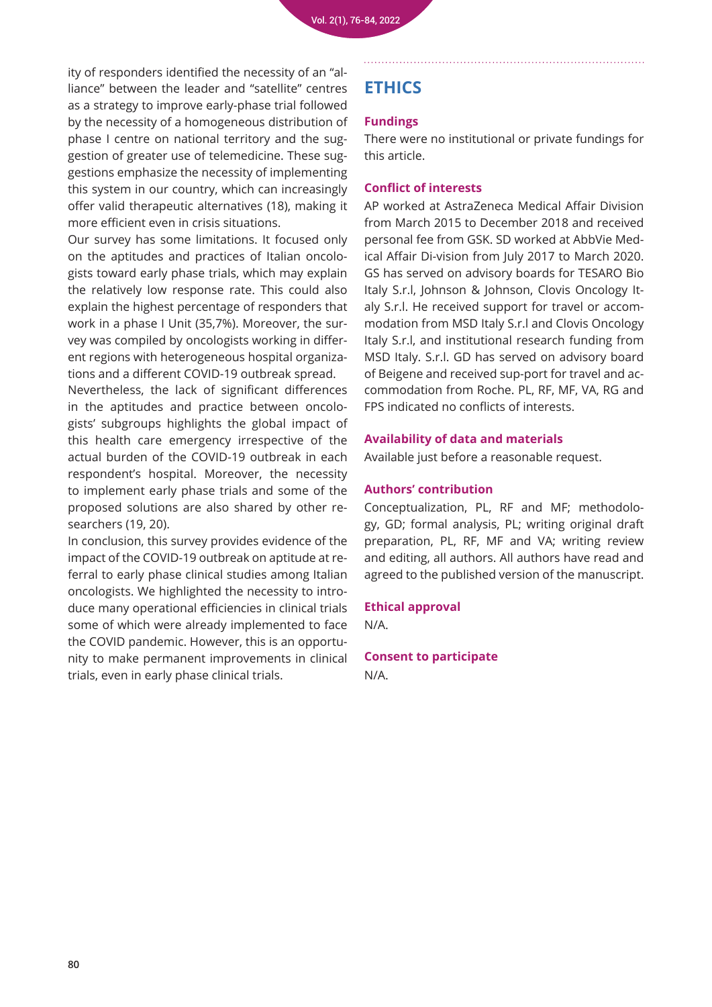ity of responders identified the necessity of an "alliance" between the leader and "satellite" centres as a strategy to improve early-phase trial followed by the necessity of a homogeneous distribution of phase I centre on national territory and the suggestion of greater use of telemedicine. These suggestions emphasize the necessity of implementing this system in our country, which can increasingly offer valid therapeutic alternatives (18), making it more efficient even in crisis situations.

Our survey has some limitations. It focused only on the aptitudes and practices of Italian oncologists toward early phase trials, which may explain the relatively low response rate. This could also explain the highest percentage of responders that work in a phase I Unit (35,7%). Moreover, the survey was compiled by oncologists working in different regions with heterogeneous hospital organizations and a different COVID-19 outbreak spread.

Nevertheless, the lack of significant differences in the aptitudes and practice between oncologists' subgroups highlights the global impact of this health care emergency irrespective of the actual burden of the COVID-19 outbreak in each respondent's hospital. Moreover, the necessity to implement early phase trials and some of the proposed solutions are also shared by other researchers (19, 20).

In conclusion, this survey provides evidence of the impact of the COVID-19 outbreak on aptitude at referral to early phase clinical studies among Italian oncologists. We highlighted the necessity to introduce many operational efficiencies in clinical trials some of which were already implemented to face the COVID pandemic. However, this is an opportunity to make permanent improvements in clinical trials, even in early phase clinical trials.

### **ETHICS**

#### **Fundings**

There were no institutional or private fundings for this article.

#### **Conflict of interests**

AP worked at AstraZeneca Medical Affair Division from March 2015 to December 2018 and received personal fee from GSK. SD worked at AbbVie Medical Affair Di-vision from July 2017 to March 2020. GS has served on advisory boards for TESARO Bio Italy S.r.l, Johnson & Johnson, Clovis Oncology Italy S.r.l. He received support for travel or accommodation from MSD Italy S.r.l and Clovis Oncology Italy S.r.l, and institutional research funding from MSD Italy. S.r.l. GD has served on advisory board of Beigene and received sup-port for travel and accommodation from Roche. PL, RF, MF, VA, RG and FPS indicated no conflicts of interests.

#### **Availability of data and materials**

Available just before a reasonable request.

#### **Authors' contribution**

Conceptualization, PL, RF and MF; methodology, GD; formal analysis, PL; writing original draft preparation, PL, RF, MF and VA; writing review and editing, all authors. All authors have read and agreed to the published version of the manuscript.

#### **Ethical approval**

N/A.

**Consent to participate** N/A.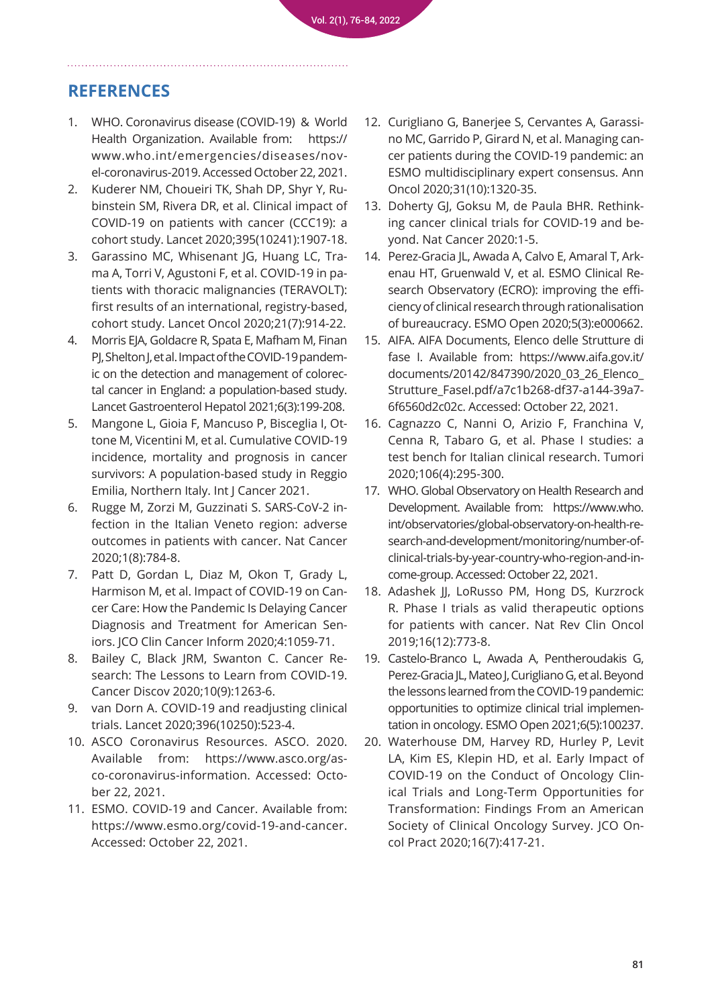### **REFERENCES**

- 1. [WHO. Coronavirus disease \(COVID-19\) & World](https://www.who.int/emergencies/diseases/novel-coronavirus-2019)  [Health Organization. Available from: https://](https://www.who.int/emergencies/diseases/novel-coronavirus-2019) [www.who.int/emergencies/diseases/nov](https://www.who.int/emergencies/diseases/novel-coronavirus-2019)[el-coronavirus-2019. Accessed October 22, 2021.](https://www.who.int/emergencies/diseases/novel-coronavirus-2019)
- 2. [Kuderer NM, Choueiri TK, Shah DP, Shyr Y, Ru](https://pubmed.ncbi.nlm.nih.gov/32473681/)[binstein SM, Rivera DR, et al. Clinical impact of](https://pubmed.ncbi.nlm.nih.gov/32473681/)  [COVID-19 on patients with cancer \(CCC19\): a](https://pubmed.ncbi.nlm.nih.gov/32473681/)  [cohort study. Lancet 2020;395\(10241\):1907-18.](https://pubmed.ncbi.nlm.nih.gov/32473681/)
- 3. [Garassino MC, Whisenant JG, Huang LC, Tra](https://pubmed.ncbi.nlm.nih.gov/32539942/)[ma A, Torri V, Agustoni F, et al. COVID-19 in pa](https://pubmed.ncbi.nlm.nih.gov/32539942/)[tients with thoracic malignancies \(TERAVOLT\):](https://pubmed.ncbi.nlm.nih.gov/32539942/)  [first results of an international, registry-based,](https://pubmed.ncbi.nlm.nih.gov/32539942/)  [cohort study. Lancet Oncol 2020;21\(7\):914-22.](https://pubmed.ncbi.nlm.nih.gov/32539942/)
- 4. [Morris EJA, Goldacre R, Spata E, Mafham M, Finan](https://pubmed.ncbi.nlm.nih.gov/33453763/)  [PJ, Shelton J, et al. Impact of the COVID-19 pandem](https://pubmed.ncbi.nlm.nih.gov/33453763/)[ic on the detection and management of colorec](https://pubmed.ncbi.nlm.nih.gov/33453763/)[tal cancer in England: a population-based study.](https://pubmed.ncbi.nlm.nih.gov/33453763/)  [Lancet Gastroenterol Hepatol 2021;6\(3\):199-208.](https://pubmed.ncbi.nlm.nih.gov/33453763/)
- 5. [Mangone L, Gioia F, Mancuso P, Bisceglia I, Ot](https://pubmed.ncbi.nlm.nih.gov/33861870/ 
)[tone M, Vicentini M, et al. Cumulative COVID-19](https://pubmed.ncbi.nlm.nih.gov/33861870/ 
)  [incidence, mortality and prognosis in cancer](https://pubmed.ncbi.nlm.nih.gov/33861870/ 
)  [survivors: A population-based study in Reggio](https://pubmed.ncbi.nlm.nih.gov/33861870/ 
)  [Emilia, Northern Italy. Int J Cancer 2021.](https://pubmed.ncbi.nlm.nih.gov/33861870/ 
)
- 6. [Rugge M, Zorzi M, Guzzinati S. SARS-CoV-2 in](https://pubmed.ncbi.nlm.nih.gov/35122051/)[fection in the Italian Veneto region: adverse](https://pubmed.ncbi.nlm.nih.gov/35122051/)  [outcomes in patients with cancer. Nat Cancer](https://pubmed.ncbi.nlm.nih.gov/35122051/)  [2020;1\(8\):784-8.](https://pubmed.ncbi.nlm.nih.gov/35122051/)
- 7. [Patt D, Gordan L, Diaz M, Okon T, Grady L,](https://pubmed.ncbi.nlm.nih.gov/33253013/)  [Harmison M, et al. Impact of COVID-19 on Can](https://pubmed.ncbi.nlm.nih.gov/33253013/)[cer Care: How the Pandemic Is Delaying Cancer](https://pubmed.ncbi.nlm.nih.gov/33253013/)  [Diagnosis and Treatment for American Sen](https://pubmed.ncbi.nlm.nih.gov/33253013/)[iors. JCO Clin Cancer Inform 2020;4:1059-71.](https://pubmed.ncbi.nlm.nih.gov/33253013/)
- 8. [Bailey C, Black JRM, Swanton C. Cancer Re](https://pubmed.ncbi.nlm.nih.gov/32669285/)[search: The Lessons to Learn from COVID-19.](https://pubmed.ncbi.nlm.nih.gov/32669285/)  [Cancer Discov 2020;10\(9\):1263-6.](https://pubmed.ncbi.nlm.nih.gov/32669285/)
- 9. [van Dorn A. COVID-19 and readjusting clinical](https://pubmed.ncbi.nlm.nih.gov/32828180/)  [trials. Lancet 2020;396\(10250\):523-4.](https://pubmed.ncbi.nlm.nih.gov/32828180/)
- 10. [ASCO Coronavirus Resources. ASCO. 2020.](https://www.asco.org/asco-coronavirus-information)  [Available from: https://www.asco.org/as](https://www.asco.org/asco-coronavirus-information)[co-coronavirus-information. Accessed: Octo](https://www.asco.org/asco-coronavirus-information)[ber 22, 2021.](https://www.asco.org/asco-coronavirus-information)
- 11. [ESMO. COVID-19 and Cancer. Available from:](https://www.esmo.org/covid-19-and-cancer)  [https://www.esmo.org/covid-19-and-cancer.](https://www.esmo.org/covid-19-and-cancer)  [Accessed: October 22, 2021.](https://www.esmo.org/covid-19-and-cancer)
- 12. [Curigliano G, Banerjee S, Cervantes A, Garassi](https://pubmed.ncbi.nlm.nih.gov/32745693/)[no MC, Garrido P, Girard N, et al. Managing can](https://pubmed.ncbi.nlm.nih.gov/32745693/)[cer patients during the COVID-19 pandemic: an](https://pubmed.ncbi.nlm.nih.gov/32745693/)  [ESMO multidisciplinary expert consensus. Ann](https://pubmed.ncbi.nlm.nih.gov/32745693/)  [Oncol 2020;31\(10\):1320-35.](https://pubmed.ncbi.nlm.nih.gov/32745693/)
- 13. [Doherty GJ, Goksu M, de Paula BHR. Rethink](https://pubmed.ncbi.nlm.nih.gov/32838303/)[ing cancer clinical trials for COVID-19 and be](https://pubmed.ncbi.nlm.nih.gov/32838303/)[yond. Nat Cancer 2020:1-5.](https://pubmed.ncbi.nlm.nih.gov/32838303/)
- 14. Perez-Gracia IL, Awada A, Calvo E, Amaral T, Ark[enau HT, Gruenwald V, et al. ESMO Clinical Re](https://pubmed.ncbi.nlm.nih.gov/32393574/)[search Observatory \(ECRO\): improving the effi](https://pubmed.ncbi.nlm.nih.gov/32393574/)[ciency of clinical research through rationalisation](https://pubmed.ncbi.nlm.nih.gov/32393574/)  [of bureaucracy. ESMO Open 2020;5\(3\):e000662.](https://pubmed.ncbi.nlm.nih.gov/32393574/)
- 15. [AIFA. AIFA Documents, Elenco delle Strutture di](https://www.aifa.gov.it/documents/20142/847390/2020_03_26_Elenco_Strutture_FaseI.pdf/a7c1b268-df37-a144-39a7-6f6560d2c02c)  [fase I. Available from: https://www.aifa.gov.it/](https://www.aifa.gov.it/documents/20142/847390/2020_03_26_Elenco_Strutture_FaseI.pdf/a7c1b268-df37-a144-39a7-6f6560d2c02c) [documents/20142/847390/2020\\_03\\_26\\_Elenco\\_](https://www.aifa.gov.it/documents/20142/847390/2020_03_26_Elenco_Strutture_FaseI.pdf/a7c1b268-df37-a144-39a7-6f6560d2c02c) [Strutture\\_FaseI.pdf/a7c1b268-df37-a144-39a7-](https://www.aifa.gov.it/documents/20142/847390/2020_03_26_Elenco_Strutture_FaseI.pdf/a7c1b268-df37-a144-39a7-6f6560d2c02c) [6f6560d2c02c. Accessed: October 22, 2021.](https://www.aifa.gov.it/documents/20142/847390/2020_03_26_Elenco_Strutture_FaseI.pdf/a7c1b268-df37-a144-39a7-6f6560d2c02c)
- 16. [Cagnazzo C, Nanni O, Arizio F, Franchina V,](https://pubmed.ncbi.nlm.nih.gov/31394978/)  [Cenna R, Tabaro G, et al. Phase I studies: a](https://pubmed.ncbi.nlm.nih.gov/31394978/)  [test bench for Italian clinical research. Tumori](https://pubmed.ncbi.nlm.nih.gov/31394978/)  [2020;106\(4\):295-300.](https://pubmed.ncbi.nlm.nih.gov/31394978/)
- 17. [WHO. Global Observatory on Health Research and](https://www.who.int/observatories/global-observatory-on-health-research-and-development/monitoring/number-of-clinical-trials-by-year-country-who-region-and-income-group)  [Development. Available from: https://www.who.](https://www.who.int/observatories/global-observatory-on-health-research-and-development/monitoring/number-of-clinical-trials-by-year-country-who-region-and-income-group) [int/observatories/global-observatory-on-health-re](https://www.who.int/observatories/global-observatory-on-health-research-and-development/monitoring/number-of-clinical-trials-by-year-country-who-region-and-income-group)[search-and-development/monitoring/number-of](https://www.who.int/observatories/global-observatory-on-health-research-and-development/monitoring/number-of-clinical-trials-by-year-country-who-region-and-income-group)[clinical-trials-by-year-country-who-region-and-in](https://www.who.int/observatories/global-observatory-on-health-research-and-development/monitoring/number-of-clinical-trials-by-year-country-who-region-and-income-group)[come-group. Accessed: October 22, 2021.](https://www.who.int/observatories/global-observatory-on-health-research-and-development/monitoring/number-of-clinical-trials-by-year-country-who-region-and-income-group)
- 18. [Adashek JJ, LoRusso PM, Hong DS, Kurzrock](https://pubmed.ncbi.nlm.nih.gov/31477881/)  R. Phase I trials as valid therapeutic options [for patients with cancer. Nat Rev Clin Oncol](https://pubmed.ncbi.nlm.nih.gov/31477881/)  [2019;16\(12\):773-8.](https://pubmed.ncbi.nlm.nih.gov/31477881/)
- 19. [Castelo-Branco L, Awada A, Pentheroudakis G,](https://pubmed.ncbi.nlm.nih.gov/34411971/)  [Perez-Gracia JL, Mateo J, Curigliano G, et al. Beyond](https://pubmed.ncbi.nlm.nih.gov/34411971/)  [the lessons learned from the COVID-19 pandemic:](https://pubmed.ncbi.nlm.nih.gov/34411971/)  [opportunities to optimize clinical trial implemen](https://pubmed.ncbi.nlm.nih.gov/34411971/)[tation in oncology. ESMO Open 2021;6\(5\):100237.](https://pubmed.ncbi.nlm.nih.gov/34411971/)
- 20. [Waterhouse DM, Harvey RD, Hurley P, Levit](https://pubmed.ncbi.nlm.nih.gov/32396491/)  [LA, Kim ES, Klepin HD, et al. Early Impact of](https://pubmed.ncbi.nlm.nih.gov/32396491/)  [COVID-19 on the Conduct of Oncology Clin](https://pubmed.ncbi.nlm.nih.gov/32396491/)[ical Trials and Long-Term Opportunities for](https://pubmed.ncbi.nlm.nih.gov/32396491/)  [Transformation: Findings From an American](https://pubmed.ncbi.nlm.nih.gov/32396491/)  [Society of Clinical Oncology Survey. JCO On](https://pubmed.ncbi.nlm.nih.gov/32396491/)[col Pract 2020;16\(7\):417-21.](https://pubmed.ncbi.nlm.nih.gov/32396491/)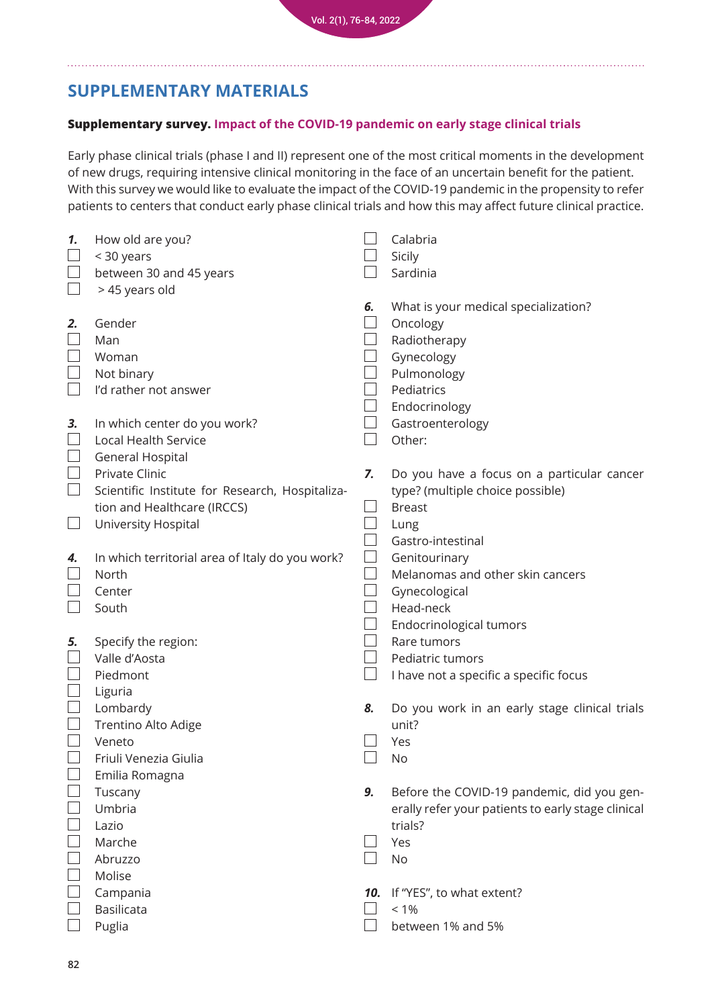## **SUPPLEMENTARY MATERIALS**

#### **Supplementary survey. Impact of the COVID-19 pandemic on early stage clinical trials**

Early phase clinical trials (phase I and II) represent one of the most critical moments in the development of new drugs, requiring intensive clinical monitoring in the face of an uncertain benefit for the patient. With this survey we would like to evaluate the impact of the COVID-19 pandemic in the propensity to refer patients to centers that conduct early phase clinical trials and how this may affect future clinical practice.

| 1.                          | How old are you?                                |     | Calabria                                           |
|-----------------------------|-------------------------------------------------|-----|----------------------------------------------------|
|                             | < 30 years                                      |     | Sicily                                             |
|                             | between 30 and 45 years                         |     | Sardinia                                           |
|                             | > 45 years old                                  |     |                                                    |
|                             |                                                 | 6.  | What is your medical specialization?               |
| 2.                          | Gender                                          |     | Oncology                                           |
|                             | Man                                             |     | Radiotherapy                                       |
|                             | Woman                                           |     | Gynecology                                         |
|                             | Not binary                                      |     | Pulmonology                                        |
|                             | I'd rather not answer                           |     | Pediatrics                                         |
|                             |                                                 |     | Endocrinology                                      |
| 3.                          | In which center do you work?                    |     | Gastroenterology                                   |
| $\overline{\phantom{a}}$    | Local Health Service                            |     | Other:                                             |
|                             | General Hospital                                |     |                                                    |
| $\Box$                      | Private Clinic                                  | 7.  | Do you have a focus on a particular cancer         |
| $\mathcal{L}_{\mathcal{A}}$ | Scientific Institute for Research, Hospitaliza- |     | type? (multiple choice possible)                   |
|                             | tion and Healthcare (IRCCS)                     |     | <b>Breast</b>                                      |
|                             | University Hospital                             |     | Lung                                               |
|                             |                                                 |     | Gastro-intestinal                                  |
| 4.                          | In which territorial area of Italy do you work? |     | Genitourinary                                      |
|                             | North                                           |     | Melanomas and other skin cancers                   |
|                             | Center                                          |     | Gynecological                                      |
|                             | South                                           |     | Head-neck                                          |
|                             |                                                 |     | Endocrinological tumors                            |
| 5.                          | Specify the region:                             |     | Rare tumors                                        |
|                             | Valle d'Aosta                                   |     | Pediatric tumors                                   |
| $\overline{\phantom{a}}$    | Piedmont                                        |     | I have not a specific a specific focus             |
|                             | Liguria                                         |     |                                                    |
|                             | Lombardy                                        | 8.  | Do you work in an early stage clinical trials      |
|                             | Trentino Alto Adige                             |     | unit?                                              |
|                             | Veneto                                          |     | Yes                                                |
|                             | Friuli Venezia Giulia                           |     | No                                                 |
|                             | Emilia Romagna                                  |     |                                                    |
|                             | Tuscany                                         | 9.  | Before the COVID-19 pandemic, did you gen-         |
|                             | Umbria                                          |     | erally refer your patients to early stage clinical |
|                             | Lazio                                           |     | trials?                                            |
|                             | Marche                                          |     | Yes                                                |
|                             | Abruzzo                                         |     | <b>No</b>                                          |
|                             | Molise                                          |     |                                                    |
|                             | Campania                                        | 10. | If "YES", to what extent?                          |
|                             | <b>Basilicata</b>                               |     | $< 1\%$                                            |
|                             | Puglia                                          |     | between 1% and 5%                                  |
|                             |                                                 |     |                                                    |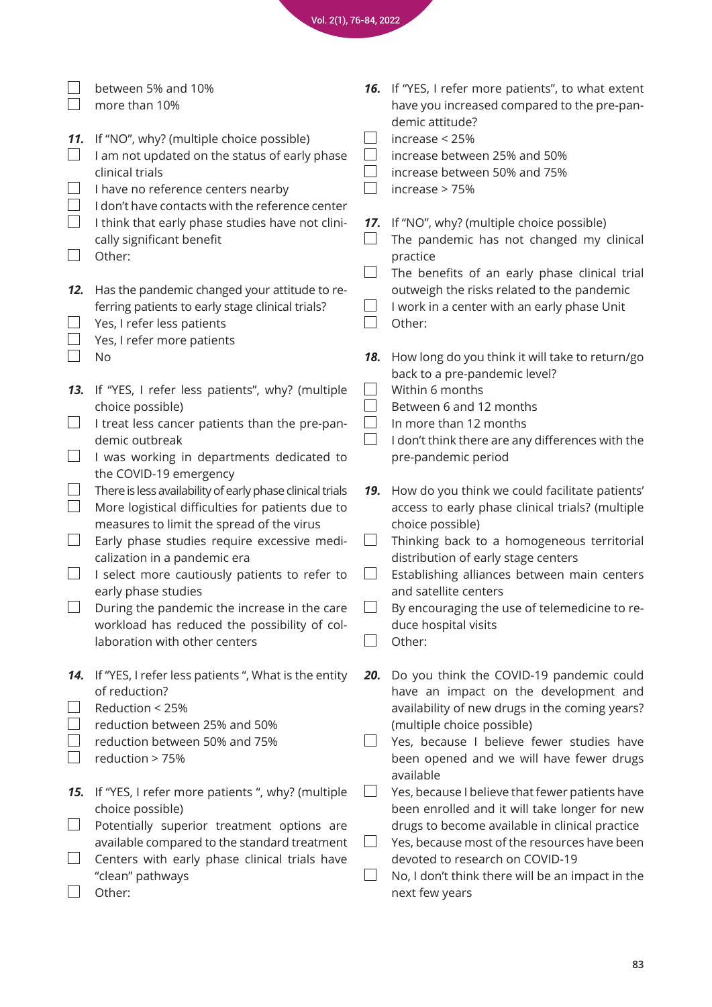|                                                        | between 5% and 10%<br>more than 10%                                                                                                                                                                                                                                                                                                                                                                                                                                                                                                                                                                                                                                  |     | 16. If "YES, I refer more patients", to what extent<br>have you increased compared to the pre-pan-<br>demic attitude?                                                                                                                                                                                                                                                                                                                                                                                                     |
|--------------------------------------------------------|----------------------------------------------------------------------------------------------------------------------------------------------------------------------------------------------------------------------------------------------------------------------------------------------------------------------------------------------------------------------------------------------------------------------------------------------------------------------------------------------------------------------------------------------------------------------------------------------------------------------------------------------------------------------|-----|---------------------------------------------------------------------------------------------------------------------------------------------------------------------------------------------------------------------------------------------------------------------------------------------------------------------------------------------------------------------------------------------------------------------------------------------------------------------------------------------------------------------------|
| 11.                                                    | If "NO", why? (multiple choice possible)<br>I am not updated on the status of early phase<br>clinical trials<br>I have no reference centers nearby<br>I don't have contacts with the reference center                                                                                                                                                                                                                                                                                                                                                                                                                                                                |     | increase < 25%<br>increase between 25% and 50%<br>increase between 50% and 75%<br>increase > 75%                                                                                                                                                                                                                                                                                                                                                                                                                          |
| $\vert \ \ \vert$                                      | I think that early phase studies have not clini-<br>cally significant benefit<br>Other:                                                                                                                                                                                                                                                                                                                                                                                                                                                                                                                                                                              | 17. | If "NO", why? (multiple choice possible)<br>The pandemic has not changed my clinical<br>practice                                                                                                                                                                                                                                                                                                                                                                                                                          |
| 12.                                                    | Has the pandemic changed your attitude to re-<br>ferring patients to early stage clinical trials?<br>Yes, I refer less patients<br>Yes, I refer more patients                                                                                                                                                                                                                                                                                                                                                                                                                                                                                                        |     | The benefits of an early phase clinical trial<br>outweigh the risks related to the pandemic<br>I work in a center with an early phase Unit<br>Other:                                                                                                                                                                                                                                                                                                                                                                      |
|                                                        | No                                                                                                                                                                                                                                                                                                                                                                                                                                                                                                                                                                                                                                                                   | 18. | How long do you think it will take to return/go<br>back to a pre-pandemic level?                                                                                                                                                                                                                                                                                                                                                                                                                                          |
| 13.<br>$\Box$<br>$\begin{array}{c} \hline \end{array}$ | If "YES, I refer less patients", why? (multiple<br>choice possible)<br>I treat less cancer patients than the pre-pan-<br>demic outbreak<br>I was working in departments dedicated to<br>the COVID-19 emergency<br>There is less availability of early phase clinical trials<br>More logistical difficulties for patients due to<br>measures to limit the spread of the virus<br>Early phase studies require excessive medi-<br>calization in a pandemic era<br>I select more cautiously patients to refer to<br>early phase studies<br>During the pandemic the increase in the care<br>workload has reduced the possibility of col-<br>laboration with other centers | 19. | Within 6 months<br>Between 6 and 12 months<br>In more than 12 months<br>I don't think there are any differences with the<br>pre-pandemic period<br>How do you think we could facilitate patients'<br>access to early phase clinical trials? (multiple<br>choice possible)<br>Thinking back to a homogeneous territorial<br>distribution of early stage centers<br>Establishing alliances between main centers<br>and satellite centers<br>By encouraging the use of telemedicine to re-<br>duce hospital visits<br>Other: |
| 14.                                                    | If "YES, I refer less patients", What is the entity<br>of reduction?<br>Reduction < 25%<br>reduction between 25% and 50%<br>reduction between 50% and 75%<br>reduction > 75%                                                                                                                                                                                                                                                                                                                                                                                                                                                                                         | 20. | Do you think the COVID-19 pandemic could<br>have an impact on the development and<br>availability of new drugs in the coming years?<br>(multiple choice possible)<br>Yes, because I believe fewer studies have<br>been opened and we will have fewer drugs<br>available                                                                                                                                                                                                                                                   |
| 15.                                                    | If "YES, I refer more patients ", why? (multiple<br>choice possible)<br>Potentially superior treatment options are<br>available compared to the standard treatment                                                                                                                                                                                                                                                                                                                                                                                                                                                                                                   |     | Yes, because I believe that fewer patients have<br>been enrolled and it will take longer for new<br>drugs to become available in clinical practice<br>Yes, because most of the resources have been                                                                                                                                                                                                                                                                                                                        |
|                                                        | Centers with early phase clinical trials have<br>"clean" pathways<br>Other:                                                                                                                                                                                                                                                                                                                                                                                                                                                                                                                                                                                          |     | devoted to research on COVID-19<br>No, I don't think there will be an impact in the<br>next few years                                                                                                                                                                                                                                                                                                                                                                                                                     |